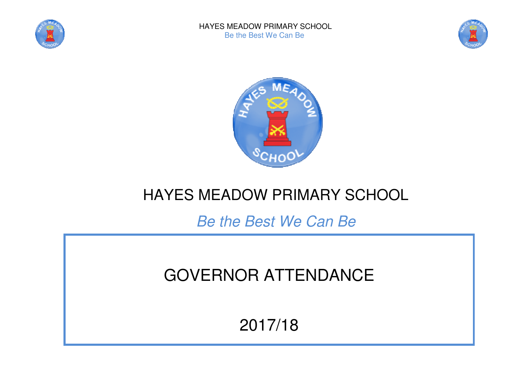





## HAYES MEADOW PRIMARY SCHOOL

Be the Best We Can Be

# GOVERNOR ATTENDANCE

### 2017/18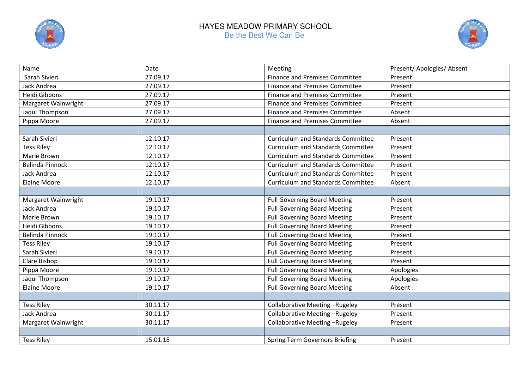

#### HAYES MEADOW PRIMARY SCHOOL Be the Best We Can Be



| Name                   | Date     | Meeting                                   | Present/ Apologies/ Absent |
|------------------------|----------|-------------------------------------------|----------------------------|
| Sarah Sivieri          | 27.09.17 | <b>Finance and Premises Committee</b>     | Present                    |
| Jack Andrea            | 27.09.17 | <b>Finance and Premises Committee</b>     | Present                    |
| Heidi Gibbons          | 27.09.17 | <b>Finance and Premises Committee</b>     | Present                    |
| Margaret Wainwright    | 27.09.17 | <b>Finance and Premises Committee</b>     | Present                    |
| Jaqui Thompson         | 27.09.17 | <b>Finance and Premises Committee</b>     | Absent                     |
| Pippa Moore            | 27.09.17 | <b>Finance and Premises Committee</b>     | Absent                     |
|                        |          |                                           |                            |
| Sarah Sivieri          | 12.10.17 | <b>Curriculum and Standards Committee</b> | Present                    |
| <b>Tess Riley</b>      | 12.10.17 | <b>Curriculum and Standards Committee</b> | Present                    |
| Marie Brown            | 12.10.17 | <b>Curriculum and Standards Committee</b> | Present                    |
| <b>Belinda Pinnock</b> | 12.10.17 | <b>Curriculum and Standards Committee</b> | Present                    |
| Jack Andrea            | 12.10.17 | <b>Curriculum and Standards Committee</b> | Present                    |
| Elaine Moore           | 12.10.17 | <b>Curriculum and Standards Committee</b> | Absent                     |
|                        |          |                                           |                            |
| Margaret Wainwright    | 19.10.17 | <b>Full Governing Board Meeting</b>       | Present                    |
| Jack Andrea            | 19.10.17 | <b>Full Governing Board Meeting</b>       | Present                    |
| Marie Brown            | 19.10.17 | <b>Full Governing Board Meeting</b>       | Present                    |
| Heidi Gibbons          | 19.10.17 | <b>Full Governing Board Meeting</b>       | Present                    |
| <b>Belinda Pinnock</b> | 19.10.17 | <b>Full Governing Board Meeting</b>       | Present                    |
| <b>Tess Riley</b>      | 19.10.17 | <b>Full Governing Board Meeting</b>       | Present                    |
| Sarah Sivieri          | 19.10.17 | <b>Full Governing Board Meeting</b>       | Present                    |
| Clare Bishop           | 19.10.17 | <b>Full Governing Board Meeting</b>       | Present                    |
| Pippa Moore            | 19.10.17 | <b>Full Governing Board Meeting</b>       | Apologies                  |
| Jaqui Thompson         | 19.10.17 | <b>Full Governing Board Meeting</b>       | Apologies                  |
| <b>Elaine Moore</b>    | 19.10.17 | Full Governing Board Meeting              | Absent                     |
|                        |          |                                           |                            |
| <b>Tess Riley</b>      | 30.11.17 | Collaborative Meeting-Rugeley             | Present                    |
| Jack Andrea            | 30.11.17 | Collaborative Meeting-Rugeley             | Present                    |
| Margaret Wainwright    | 30.11.17 | <b>Collaborative Meeting-Rugeley</b>      | Present                    |
|                        |          |                                           |                            |
| <b>Tess Riley</b>      | 15.01.18 | <b>Spring Term Governors Briefing</b>     | Present                    |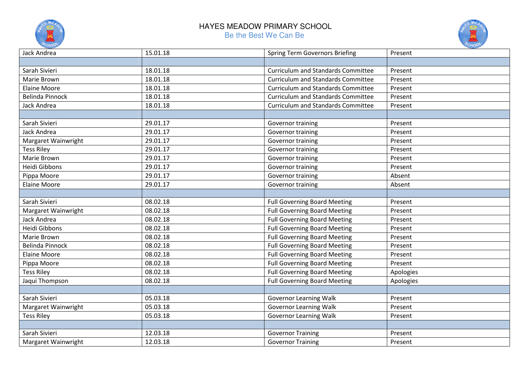

#### HAYES MEADOW PRIMARY SCHOOL Be the Best We Can Be



| Jack Andrea            | 15.01.18 | <b>Spring Term Governors Briefing</b>     | Present   |
|------------------------|----------|-------------------------------------------|-----------|
|                        |          |                                           |           |
| Sarah Sivieri          | 18.01.18 | <b>Curriculum and Standards Committee</b> | Present   |
| Marie Brown            | 18.01.18 | <b>Curriculum and Standards Committee</b> | Present   |
| <b>Elaine Moore</b>    | 18.01.18 | <b>Curriculum and Standards Committee</b> | Present   |
| <b>Belinda Pinnock</b> | 18.01.18 | <b>Curriculum and Standards Committee</b> | Present   |
| Jack Andrea            | 18.01.18 | <b>Curriculum and Standards Committee</b> | Present   |
|                        |          |                                           |           |
| Sarah Sivieri          | 29.01.17 | Governor training                         | Present   |
| Jack Andrea            | 29.01.17 | Governor training                         | Present   |
| Margaret Wainwright    | 29.01.17 | Governor training                         | Present   |
| <b>Tess Riley</b>      | 29.01.17 | Governor training                         | Present   |
| Marie Brown            | 29.01.17 | Governor training                         | Present   |
| Heidi Gibbons          | 29.01.17 | Governor training                         | Present   |
| Pippa Moore            | 29.01.17 | Governor training                         | Absent    |
| <b>Elaine Moore</b>    | 29.01.17 | Governor training                         | Absent    |
|                        |          |                                           |           |
| Sarah Sivieri          | 08.02.18 | <b>Full Governing Board Meeting</b>       | Present   |
| Margaret Wainwright    | 08.02.18 | <b>Full Governing Board Meeting</b>       | Present   |
| Jack Andrea            | 08.02.18 | <b>Full Governing Board Meeting</b>       | Present   |
| Heidi Gibbons          | 08.02.18 | <b>Full Governing Board Meeting</b>       | Present   |
| Marie Brown            | 08.02.18 | <b>Full Governing Board Meeting</b>       | Present   |
| <b>Belinda Pinnock</b> | 08.02.18 | <b>Full Governing Board Meeting</b>       | Present   |
| <b>Elaine Moore</b>    | 08.02.18 | <b>Full Governing Board Meeting</b>       | Present   |
| Pippa Moore            | 08.02.18 | <b>Full Governing Board Meeting</b>       | Present   |
| <b>Tess Riley</b>      | 08.02.18 | <b>Full Governing Board Meeting</b>       | Apologies |
| Jaqui Thompson         | 08.02.18 | <b>Full Governing Board Meeting</b>       | Apologies |
|                        |          |                                           |           |
| Sarah Sivieri          | 05.03.18 | <b>Governor Learning Walk</b>             | Present   |
| Margaret Wainwright    | 05.03.18 | <b>Governor Learning Walk</b>             | Present   |
| <b>Tess Riley</b>      | 05.03.18 | <b>Governor Learning Walk</b>             | Present   |
|                        |          |                                           |           |
| Sarah Sivieri          | 12.03.18 | <b>Governor Training</b>                  | Present   |
| Margaret Wainwright    | 12.03.18 | <b>Governor Training</b>                  | Present   |